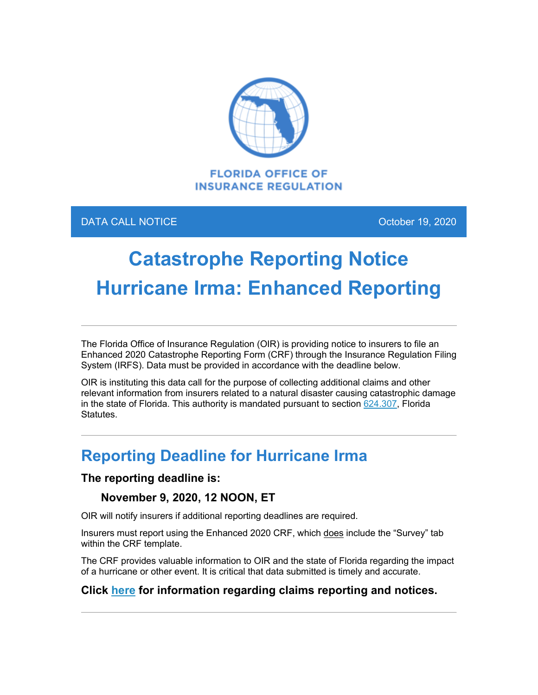

### DATA CALL NOTICE **CALL AND TIME CALL AND TIME CALL AND TIME CALL AND TIME CALL AND TIME CALL AND TIME CALL AND**

# **Catastrophe Reporting Notice Hurricane Irma: Enhanced Reporting**

The Florida Office of Insurance Regulation (OIR) is providing notice to insurers to file an Enhanced 2020 Catastrophe Reporting Form (CRF) through the Insurance Regulation Filing System (IRFS). Data must be provided in accordance with the deadline below.

OIR is instituting this data call for the purpose of collecting additional claims and other relevant information from insurers related to a natural disaster causing catastrophic damage in the state of Florida. This authority is mandated pursuant to section  $624.307$ , Florida Statutes.

## **Reporting Deadline for Hurricane Irma**

### **The reporting deadline is:**

### **November 9, 2020, 12 NOON, ET**

OIR will notify insurers if additional reporting deadlines are required.

Insurers must report using the Enhanced 2020 CRF, which does include the "Survey" tab within the CRF template.

The CRF provides valuable information to OIR and the state of Florida regarding the impact of a hurricane or other event. It is critical that data submitted is timely and accurate.

### **Click [here](https://floir.com/Sections/PandC/ProductReview/CatastropheReporting.aspx?utm_medium=email&utm_source=govdelivery) for information regarding claims reporting and notices.**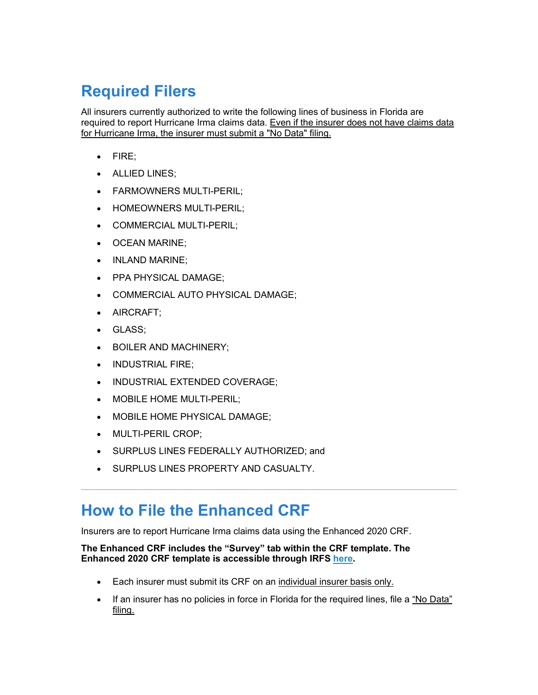# **Required Filers**

All insurers currently authorized to write the following lines of business in Florida are required to report Hurricane Irma claims data. Even if the insurer does not have claims data for Hurricane Irma, the insurer must submit a "No Data" filing.

- FIRE;
- ALLIED LINES;
- FARMOWNERS MULTI-PERIL;
- HOMEOWNERS MULTI-PERIL;
- COMMERCIAL MULTI-PERIL;
- OCEAN MARINE;
- INLAND MARINE;
- PPA PHYSICAL DAMAGE;
- COMMERCIAL AUTO PHYSICAL DAMAGE;
- AIRCRAFT;
- GLASS;
- BOILER AND MACHINERY;
- INDUSTRIAL FIRE;
- INDUSTRIAL EXTENDED COVERAGE;
- MOBILE HOME MULTI-PERIL;
- MOBILE HOME PHYSICAL DAMAGE;
- MULTI-PERIL CROP;
- SURPLUS LINES FEDERALLY AUTHORIZED; and
- SURPLUS LINES PROPERTY AND CASUALTY.

### **How to File the Enhanced CRF**

Insurers are to report Hurricane Irma claims data using the Enhanced 2020 CRF.

#### **The Enhanced CRF includes the "Survey" tab within the CRF template. The Enhanced 2020 CRF template is accessible through IRFS [here.](https://irfs.fldfs.com/?utm_medium=email&utm_source=govdelivery)**

- Each insurer must submit its CRF on an individual insurer basis only.
- If an insurer has no policies in force in Florida for the required lines, file a "No Data" filing.